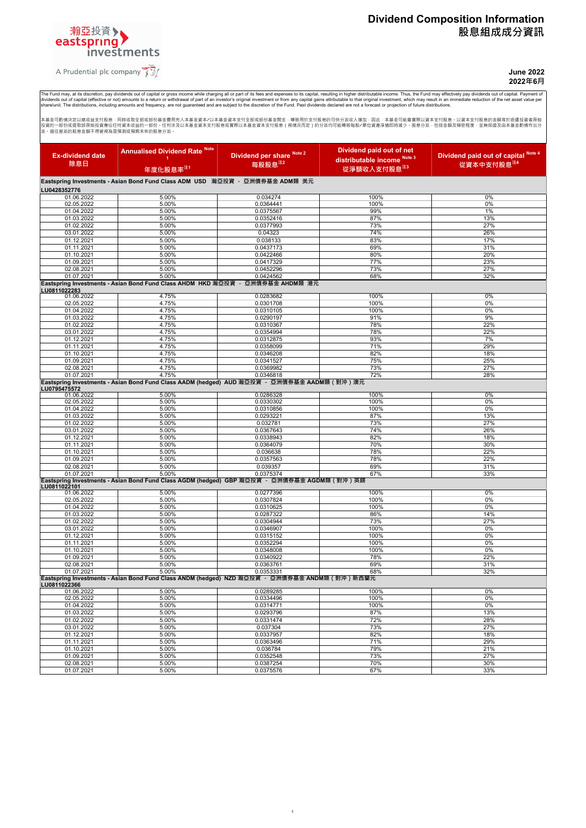# **Dividend Composition Information 股息組成成分資訊**



investments

输亞投資>

**June 2022 2022年6月**

The Fund may, at its discretion, pay dividends out of capital or gross income while charging all or part of its fees and expenses to its capital, resulting in higher distributable income. Thus, the Fund may effectively pay

本基金可酌情決定以總收益支付脱息 · 同時收取全部或部份基金費用充入本基金資本⁄以本基金資本支付全部或部份基金開支 · 導致用於支付股息的可供分流收入增加 · 因此 · 本基金可能曾實際以資本支付股息 · 以資本支付股息的金額等於返還投資者原理<br>投資的一部的或提取該原始投資應佔任何資本收益的一部份 · 任何涉及以本基金資本支付股息或實際以本基金資本支付股息(視情況而定)的分派均可能導致每股⁄單位資產淨值即時減少 · 股息分派 · 包括金額

| <b>Ex-dividend date</b>                                                      | <b>Annualised Dividend Rate Note</b><br>4                                                      | Dividend per share Note 2 | Dividend paid out of net<br>distributable income Note 3 | Dividend paid out of capital Note 4 |  |
|------------------------------------------------------------------------------|------------------------------------------------------------------------------------------------|---------------------------|---------------------------------------------------------|-------------------------------------|--|
| 除息日                                                                          | 年度化股息率 <sup>注1</sup>                                                                           | 每股股息注2                    | 從淨額收入支付股息 <sup>注3</sup>                                 | 從資本中支付股息注4                          |  |
| Eastspring Investments - Asian Bond Fund Class ADM USD 瀚亞投資 - 亞洲債券基金 ADM類 美元 |                                                                                                |                           |                                                         |                                     |  |
| LU0428352776                                                                 |                                                                                                |                           |                                                         |                                     |  |
| 01.06.2022                                                                   | 5.00%                                                                                          | 0.034274                  | 100%                                                    | 0%                                  |  |
| 02.05.2022<br>01.04.2022                                                     | 5.00%<br>5.00%                                                                                 | 0.0364441<br>0.0375567    | 100%<br>99%                                             | 0%<br>1%                            |  |
| 01.03.2022                                                                   | 5.00%                                                                                          | 0.0352416                 | 87%                                                     | 13%                                 |  |
| 01.02.2022                                                                   | 5.00%                                                                                          | 0.0377993                 | 73%                                                     | 27%                                 |  |
| 03.01.2022                                                                   | 5.00%                                                                                          | 0.04323                   | 74%                                                     | 26%                                 |  |
| 01.12.2021                                                                   | 5.00%                                                                                          | 0.038133                  | 83%                                                     | 17%                                 |  |
| 01.11.2021                                                                   | 5.00%                                                                                          | 0.0437173                 | 69%                                                     | 31%                                 |  |
| 01.10.2021<br>01.09.2021                                                     | 5.00%<br>5.00%                                                                                 | 0.0422466<br>0.0417329    | 80%<br>77%                                              | 20%<br>23%                          |  |
| 02.08.2021                                                                   | 5.00%                                                                                          | 0.0452296                 | 73%                                                     | 27%                                 |  |
| 01.07.2021                                                                   | 5.00%                                                                                          | 0.0424562                 | 68%                                                     | 32%                                 |  |
|                                                                              | Eastspring Investments - Asian Bond Fund Class AHDM HKD 瀚亞投資 - 亞洲債券基金 AHDM類 港元                 |                           |                                                         |                                     |  |
| LU0811022283<br>01.06.2022                                                   | 4.75%                                                                                          | 0.0283682                 | 100%                                                    | 0%                                  |  |
| 02.05.2022                                                                   | 4.75%                                                                                          | 0.0301708                 | 100%                                                    | 0%                                  |  |
| 01.04.2022                                                                   | 4.75%                                                                                          | 0.0310105                 | 100%                                                    | 0%                                  |  |
| 01.03.2022                                                                   | 4.75%                                                                                          | 0.0290197                 | 91%                                                     | 9%                                  |  |
| 01.02.2022                                                                   | 4.75%                                                                                          | 0.0310367                 | 78%                                                     | 22%                                 |  |
| 03.01.2022<br>01.12.2021                                                     | 4.75%<br>4.75%                                                                                 | 0.0354994                 | 78%<br>93%                                              | 22%<br>7%                           |  |
| 01.11.2021                                                                   | 4.75%                                                                                          | 0.0312875<br>0.0358099    | 71%                                                     | 29%                                 |  |
| 01.10.2021                                                                   | 4.75%                                                                                          | 0.0346208                 | 82%                                                     | 18%                                 |  |
| 01.09.2021                                                                   | 4.75%                                                                                          | 0.0341527                 | 75%                                                     | 25%                                 |  |
| 02.08.2021                                                                   | 4.75%                                                                                          | 0.0369982                 | 73%                                                     | 27%                                 |  |
| 01.07.2021                                                                   | 4.75%                                                                                          | 0.0346818                 | 72%                                                     | 28%                                 |  |
| LU0795475572                                                                 | Eastspring Investments - Asian Bond Fund Class AADM (hedged) AUD 瀚亞投資 - 亞洲債券基金 AADM類 ( 對沖 ) 澳元 |                           |                                                         |                                     |  |
| 01.06.2022                                                                   | 5.00%                                                                                          | 0.0286328                 | 100%                                                    | 0%                                  |  |
| 02.05.2022                                                                   | 5.00%                                                                                          | 0.0330302                 | 100%                                                    | 0%                                  |  |
| 01.04.2022                                                                   | 5.00%                                                                                          | 0.0310856                 | 100%                                                    | 0%                                  |  |
| 01.03.2022<br>01.02.2022                                                     | 5.00%<br>5.00%                                                                                 | 0.0293221<br>0.032781     | 87%<br>73%                                              | 13%<br>27%                          |  |
| 03.01.2022                                                                   | 5.00%                                                                                          | 0.0367643                 | 74%                                                     | 26%                                 |  |
| 01.12.2021                                                                   | 5.00%                                                                                          | 0.0338943                 | 82%                                                     | 18%                                 |  |
| 01.11.2021                                                                   | 5.00%                                                                                          | 0.0364079                 | 70%                                                     | 30%                                 |  |
| 01.10.2021                                                                   | 5.00%                                                                                          | 0.036638                  | 78%                                                     | 22%                                 |  |
| 01.09.2021                                                                   | 5.00%                                                                                          | 0.0357563                 | 78%                                                     | 22%                                 |  |
| 02.08.2021<br>01.07.2021                                                     | 5.00%<br>5.00%                                                                                 | 0.039357<br>0.0375374     | 69%<br>67%                                              | 31%<br>33%                          |  |
|                                                                              | Eastspring Investments - Asian Bond Fund Class AGDM (hedged) GBP 瀚亞投資 - 亞洲債券基金 AGDM類 ( 對沖 ) 英鎊 |                           |                                                         |                                     |  |
| LU0811022101                                                                 |                                                                                                |                           |                                                         |                                     |  |
| 01.06.2022<br>02.05.2022                                                     | 5.00%<br>5.00%                                                                                 | 0.0277396<br>0.0307824    | 100%<br>100%                                            | 0%<br>0%                            |  |
| 01.04.2022                                                                   | 5.00%                                                                                          | 0.0310625                 | 100%                                                    | 0%                                  |  |
| 01.03.2022                                                                   | 5.00%                                                                                          | 0.0287322                 | 86%                                                     | 14%                                 |  |
| 01.02.2022                                                                   | 5.00%                                                                                          | 0.0304944                 | 73%                                                     | 27%                                 |  |
| 03.01.2022                                                                   | 5.00%                                                                                          | 0.0346907                 | 100%                                                    | 0%                                  |  |
| 01.12.2021<br>01.11.2021                                                     | 5.00%<br>5.00%                                                                                 | 0.0315152<br>0.0352294    | 100%<br>100%                                            | 0%<br>0%                            |  |
| 01.10.2021                                                                   | 5.00%                                                                                          | 0.0348008                 | 100%                                                    | 0%                                  |  |
| 01.09.2021                                                                   | 5.00%                                                                                          | 0.0340922                 | 78%                                                     | 22%                                 |  |
| 02.08.2021                                                                   | 5.00%                                                                                          | 0.0363761                 | 69%                                                     | 31%                                 |  |
| 01.07.2021                                                                   | 5.00%                                                                                          | 0.0353331                 | 68%                                                     | 32%                                 |  |
| LU0811022366                                                                 | Eastspring Investments - Asian Bond Fund Class ANDM (hedged) NZD 瀚亞投資 - 亞洲債券基金 ANDM類(對沖)新西蘭元   |                           |                                                         |                                     |  |
| 01.06.2022                                                                   | 5.00%                                                                                          | 0.0289285                 | 100%                                                    | 0%                                  |  |
| 02.05.2022                                                                   | 5.00%                                                                                          | 0.0334496                 | 100%                                                    | 0%                                  |  |
| 01.04.2022                                                                   | 5.00%                                                                                          | 0.0314771                 | 100%                                                    | 0%<br>13%                           |  |
| 01.03.2022<br>01.02.2022                                                     | 5.00%<br>5.00%                                                                                 | 0.0293796<br>0.0331474    | 87%<br>72%                                              | 28%                                 |  |
| 03.01.2022                                                                   | 5.00%                                                                                          | 0.037304                  | 73%                                                     | 27%                                 |  |
| 01.12.2021                                                                   | 5.00%                                                                                          | 0.0337957                 | 82%                                                     | 18%                                 |  |
| 01.11.2021                                                                   | 5.00%                                                                                          | 0.0363496                 | 71%                                                     | 29%                                 |  |
| 01.10.2021                                                                   | 5.00%                                                                                          | 0.036784                  | 79%                                                     | 21%                                 |  |
| 01.09.2021<br>02.08.2021                                                     | 5.00%<br>5.00%                                                                                 | 0.0352548<br>0.0387254    | 73%<br>70%                                              | 27%<br>30%                          |  |
| 01.07.2021                                                                   | 5.00%                                                                                          | 0.0375576                 | 67%                                                     | 33%                                 |  |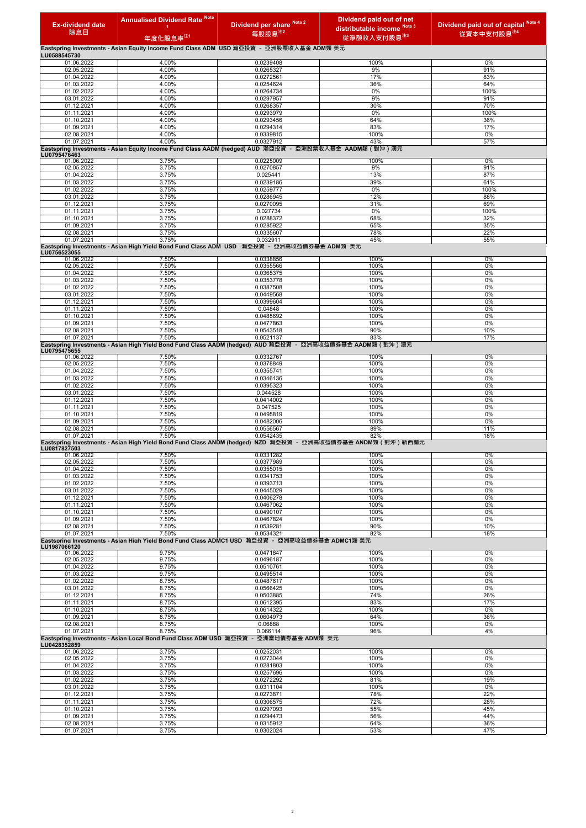| <b>Ex-dividend date</b><br>除息日 | <b>Annualised Dividend Rate Note</b><br>-1.<br>年度化股息率 <sup>注1</sup>                                                | Dividend per share Note 2<br>每股股息 <sup>注2</sup> | Dividend paid out of net<br>distributable income Note 3<br>從淨額收入支付股息 $z_3$                                 | Dividend paid out of capital Note 4<br>從資本中支付股息 <sup>注4</sup> |
|--------------------------------|--------------------------------------------------------------------------------------------------------------------|-------------------------------------------------|------------------------------------------------------------------------------------------------------------|---------------------------------------------------------------|
|                                | Eastspring Investments - Asian Equity Income Fund Class ADM USD 瀚亞投資 - 亞洲股票收入基金 ADM類 美元                            |                                                 |                                                                                                            |                                                               |
| LU0588545730<br>01.06.2022     | 4.00%                                                                                                              | 0.0239408                                       | 100%                                                                                                       | 0%                                                            |
| 02.05.2022                     | 4.00%                                                                                                              | 0.0265327                                       | 9%                                                                                                         | 91%                                                           |
| 01.04.2022                     | 4.00%                                                                                                              | 0.0272561                                       | 17%                                                                                                        | 83%                                                           |
| 01.03.2022<br>01.02.2022       | 4.00%<br>4.00%                                                                                                     | 0.0254624<br>0.0264734                          | 36%<br>0%                                                                                                  | 64%<br>100%                                                   |
| 03.01.2022                     | 4.00%                                                                                                              | 0.0297957                                       | 9%                                                                                                         | 91%                                                           |
| 01.12.2021                     | 4.00%                                                                                                              | 0.0268357                                       | 30%                                                                                                        | 70%                                                           |
| 01.11.2021<br>01.10.2021       | 4.00%<br>4.00%                                                                                                     | 0.0293979<br>0.0293456                          | 0%<br>64%                                                                                                  | 100%<br>36%                                                   |
| 01.09.2021                     | 4.00%                                                                                                              | 0.0294314                                       | 83%                                                                                                        | 17%                                                           |
| 02.08.2021                     | 4.00%                                                                                                              | 0.0339815                                       | 100%                                                                                                       | 0%                                                            |
| 01.07.2021                     | 4.00%<br>Eastspring Investments - Asian Equity Income Fund Class AADM (hedged) AUD 瀚亞投資 - 亞洲股票收入基金 AADM類 ( 對沖 ) 澳元 | 0.0327912                                       | 43%                                                                                                        | 57%                                                           |
| LU0795476463                   |                                                                                                                    |                                                 |                                                                                                            |                                                               |
| 01.06.2022<br>02.05.2022       | 3.75%<br>3.75%                                                                                                     | 0.0225009<br>0.0270857                          | 100%<br>9%                                                                                                 | 0%<br>91%                                                     |
| 01.04.2022                     | 3.75%                                                                                                              | 0.025441                                        | 13%                                                                                                        | 87%                                                           |
| 01.03.2022                     | 3.75%                                                                                                              | 0.0239186                                       | 39%                                                                                                        | 61%                                                           |
| 01.02.2022<br>03.01.2022       | 3.75%<br>3.75%                                                                                                     | 0.0259777<br>0.0286945                          | 0%<br>12%                                                                                                  | 100%<br>88%                                                   |
| 01.12.2021                     | 3.75%                                                                                                              | 0.0270095                                       | 31%                                                                                                        | 69%                                                           |
| 01.11.2021                     | 3.75%                                                                                                              | 0.027734                                        | 0%                                                                                                         | 100%                                                          |
| 01.10.2021<br>01.09.2021       | 3.75%<br>3.75%                                                                                                     | 0.0288372<br>0.0285922                          | 68%<br>65%                                                                                                 | 32%<br>35%                                                    |
| 02.08.2021                     | 3.75%                                                                                                              | 0.0335607                                       | 78%                                                                                                        | 22%                                                           |
| 01.07.2021                     | 3.75%                                                                                                              | 0.032911                                        | 45%                                                                                                        | 55%                                                           |
| LU0756523055                   | Eastspring Investments - Asian High Yield Bond Fund Class ADM USD 瀚亞投資 - 亞洲高收益債券基金 ADM類 美元                         |                                                 |                                                                                                            |                                                               |
| 01.06.2022                     | 7.50%                                                                                                              | 0.0338856                                       | 100%                                                                                                       | 0%                                                            |
| 02.05.2022                     | 7.50%                                                                                                              | 0.0355566                                       | 100%                                                                                                       | 0%                                                            |
| 01.04.2022<br>01.03.2022       | 7.50%<br>7.50%                                                                                                     | 0.0365375<br>0.0353778                          | 100%<br>100%                                                                                               | 0%<br>0%                                                      |
| 01.02.2022                     | 7.50%                                                                                                              | 0.0387508                                       | 100%                                                                                                       | 0%                                                            |
| 03.01.2022                     | 7.50%                                                                                                              | 0.0449568                                       | 100%                                                                                                       | 0%                                                            |
| 01.12.2021<br>01.11.2021       | 7.50%<br>7.50%                                                                                                     | 0.0399604<br>0.04848                            | 100%<br>100%                                                                                               | 0%<br>0%                                                      |
| 01.10.2021                     | 7.50%                                                                                                              | 0.0485692                                       | 100%                                                                                                       | 0%                                                            |
| 01.09.2021                     | 7.50%                                                                                                              | 0.0477863                                       | 100%                                                                                                       | 0%                                                            |
| 02.08.2021<br>01.07.2021       | 7.50%<br>7.50%                                                                                                     | 0.0543518<br>0.0521137                          | 90%<br>83%                                                                                                 | 10%<br>17%                                                    |
|                                | Eastspring Investments - Asian High Yield Bond Fund Class AADM (hedged) AUD 瀚亞投資 - 亞洲高收益債券基金 AADM類(對沖)澳元           |                                                 |                                                                                                            |                                                               |
| LU0795475655<br>01.06.2022     | 7.50%                                                                                                              | 0.0332767                                       | 100%                                                                                                       | 0%                                                            |
| 02.05.2022                     | 7.50%                                                                                                              | 0.0378849                                       | 100%                                                                                                       | 0%                                                            |
| 01.04.2022                     | 7.50%                                                                                                              | 0.0355741                                       | 100%                                                                                                       | 0%                                                            |
| 01.03.2022<br>01.02.2022       | 7.50%<br>7.50%                                                                                                     | 0.0346136<br>0.0395323                          | 100%<br>100%                                                                                               | 0%<br>0%                                                      |
| 03.01.2022                     | 7.50%                                                                                                              | 0.044528                                        | 100%                                                                                                       | 0%                                                            |
| 01.12.2021                     | 7.50%                                                                                                              | 0.0414002                                       | 100%                                                                                                       | 0%                                                            |
| 01.11.2021                     | 7.50%                                                                                                              | 0.047525<br>0.0495819                           | 100%                                                                                                       | 0%                                                            |
| 01.10.2021<br>01.09.2021       | 7.50%<br>7.50%                                                                                                     | 0.0482006                                       | 100%<br>100%                                                                                               | 0%<br>0%                                                      |
| 02.08.2021                     | 7.50%                                                                                                              | 0.0556567                                       | 89%                                                                                                        | 11%                                                           |
| 01.07.2021                     | 7.50%                                                                                                              | 0.0542435                                       | 82%                                                                                                        | 18%                                                           |
| LU0817827503                   |                                                                                                                    |                                                 | Eastspring Investments - Asian High Yield Bond Fund Class ANDM (hedged) NZD 瀚亞投資 - 亞洲高收益債券基金 ANDM類(對沖)新西蘭元 |                                                               |
| 01.06.2022                     | 7.50%                                                                                                              | 0.0331282                                       | 100%                                                                                                       | 0%                                                            |
| 02.05.2022<br>01.04.2022       | 7.50%<br>7.50%                                                                                                     | 0.0377989<br>0.0355015                          | 100%<br>100%                                                                                               | 0%<br>0%                                                      |
| 01.03.2022                     | 7.50%                                                                                                              | 0.0341753                                       | 100%                                                                                                       | 0%                                                            |
| 01.02.2022                     | 7.50%                                                                                                              | 0.0393713                                       | 100%                                                                                                       | 0%                                                            |
| 03.01.2022<br>01.12.2021       | 7.50%<br>7.50%                                                                                                     | 0.0445029<br>0.0406278                          | 100%<br>100%                                                                                               | 0%<br>0%                                                      |
| 01.11.2021                     | 7.50%                                                                                                              | 0.0467062                                       | 100%                                                                                                       | 0%                                                            |
| 01.10.2021                     | 7.50%                                                                                                              | 0.0490107                                       | 100%                                                                                                       | 0%                                                            |
| 01.09.2021<br>02.08.2021       | 7.50%<br>7.50%                                                                                                     | 0.0467824<br>0.0539281                          | 100%<br>90%                                                                                                | 0%<br>10%                                                     |
| 01.07.2021                     | 7.50%                                                                                                              | 0.0534321                                       | 82%                                                                                                        | 18%                                                           |
|                                | Eastspring Investments - Asian High Yield Bond Fund Class ADMC1 USD  瀚亞投資 - 亞洲高收益債券基金 ADMC1類 美元                    |                                                 |                                                                                                            |                                                               |
| LU1987066120<br>01.06.2022     | 9.75%                                                                                                              | 0.0471847                                       | 100%                                                                                                       | 0%                                                            |
| 02.05.2022                     | 9.75%                                                                                                              | 0.0496187                                       | 100%                                                                                                       | 0%                                                            |
| 01.04.2022                     | 9.75%                                                                                                              | 0.0510761                                       | 100%                                                                                                       | 0%                                                            |
| 01.03.2022<br>01.02.2022       | 9.75%<br>8.75%                                                                                                     | 0.0495514<br>0.0487617                          | 100%<br>100%                                                                                               | 0%<br>0%                                                      |
| 03.01.2022                     | 8.75%                                                                                                              | 0.0566425                                       | 100%                                                                                                       | 0%                                                            |
| 01.12.2021                     | 8.75%                                                                                                              | 0.0503885                                       | 74%<br>83%                                                                                                 | 26%                                                           |
| 01.11.2021<br>01.10.2021       | 8.75%<br>8.75%                                                                                                     | 0.0612395<br>0.0614322                          | 100%                                                                                                       | 17%<br>0%                                                     |
| 01.09.2021                     | 8.75%                                                                                                              | 0.0604973                                       | 64%                                                                                                        | 36%                                                           |
| 02.08.2021                     | 8.75%                                                                                                              | 0.06888                                         | 100%                                                                                                       | 0%                                                            |
| 01.07.2021                     | 8.75%<br>Eastspring Investments - Asian Local Bond Fund Class ADM USD 瀚亞投資 - 亞洲當地債券基金 ADM類 美元                      | 0.066114                                        | 96%                                                                                                        | 4%                                                            |
| LU0428352859                   |                                                                                                                    |                                                 |                                                                                                            |                                                               |
| 01.06.2022                     | 3.75%<br>3.75%                                                                                                     | 0.0252031                                       | 100%<br>100%                                                                                               | 0%<br>0%                                                      |
| 02.05.2022<br>01.04.2022       | 3.75%                                                                                                              | 0.0273044<br>0.0281803                          | 100%                                                                                                       | 0%                                                            |
| 01.03.2022                     | 3.75%                                                                                                              | 0.0257696                                       | 100%                                                                                                       | 0%                                                            |
| 01.02.2022                     | 3.75%                                                                                                              | 0.0272292                                       | 81%                                                                                                        | 19%                                                           |
| 03.01.2022<br>01.12.2021       | 3.75%<br>3.75%                                                                                                     | 0.0311104<br>0.0273871                          | 100%<br>78%                                                                                                | 0%<br>22%                                                     |
| 01.11.2021                     | 3.75%                                                                                                              | 0.0306575                                       | 72%                                                                                                        | 28%                                                           |
| 01.10.2021                     | 3.75%                                                                                                              | 0.0297093                                       | 55%                                                                                                        | 45%                                                           |
| 01.09.2021<br>02.08.2021       | 3.75%<br>3.75%                                                                                                     | 0.0294473<br>0.0315912                          | 56%<br>64%                                                                                                 | 44%<br>36%                                                    |
| 01.07.2021                     | 3.75%                                                                                                              | 0.0302024                                       | 53%                                                                                                        | 47%                                                           |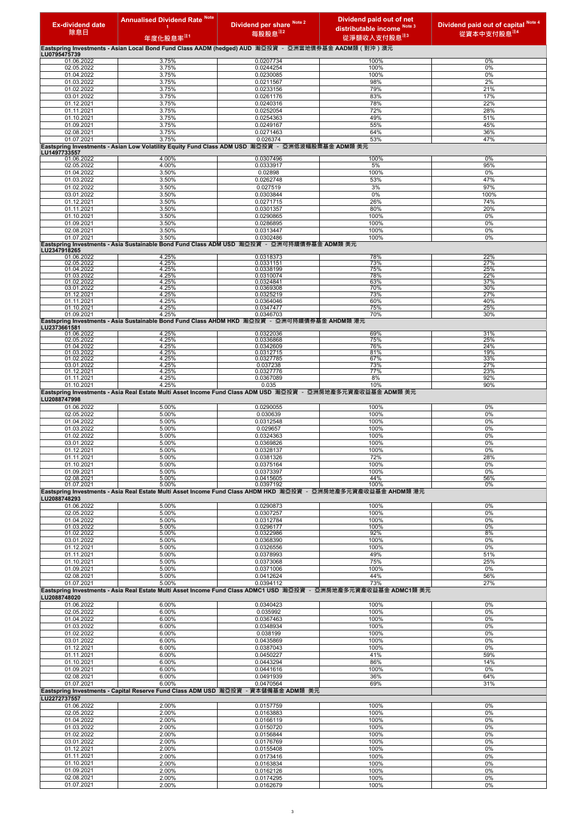| <b>Ex-dividend date</b>    | <b>Annualised Dividend Rate Note</b>                                                                                  | Dividend per share Note 2 | Dividend paid out of net<br>distributable income Note 3                                                                 | Dividend paid out of capital Note 4 |
|----------------------------|-----------------------------------------------------------------------------------------------------------------------|---------------------------|-------------------------------------------------------------------------------------------------------------------------|-------------------------------------|
| 除息日                        | 年度化股息率 <sup>汪1</sup>                                                                                                  | 每股股息注2                    | 從淨額收入支付股息注3                                                                                                             | 從資本中支付股息 <sup>注4</sup>              |
|                            | Eastspring Investments - Asian Local Bond Fund Class AADM (hedged) AUD 瀚亞投資 - 亞洲當地債券基金 AADM類 (對沖)澳元                   |                           |                                                                                                                         |                                     |
| LU0795475739<br>01.06.2022 | 3.75%                                                                                                                 | 0.0207734                 | 100%                                                                                                                    | 0%                                  |
| 02.05.2022<br>01.04.2022   | 3.75%<br>3.75%                                                                                                        | 0.0244254<br>0.0230085    | 100%<br>100%                                                                                                            | 0%<br>0%                            |
| 01.03.2022                 | 3.75%                                                                                                                 | 0.0211567                 | 98%                                                                                                                     | 2%                                  |
| 01.02.2022<br>03.01.2022   | 3.75%<br>3.75%                                                                                                        | 0.0233156<br>0.0261176    | 79%<br>83%                                                                                                              | 21%<br>17%                          |
| 01.12.2021                 | 3.75%                                                                                                                 | 0.0240316                 | 78%                                                                                                                     | 22%                                 |
| 01.11.2021<br>01.10.2021   | 3.75%<br>3.75%                                                                                                        | 0.0252054<br>0.0254363    | 72%<br>49%                                                                                                              | 28%<br>51%                          |
| 01.09.2021                 | 3.75%                                                                                                                 | 0.0249167                 | 55%                                                                                                                     | 45%                                 |
| 02.08.2021<br>01.07.2021   | 3.75%<br>3.75%                                                                                                        | 0.0271463<br>0.026374     | 64%<br>53%                                                                                                              | 36%<br>47%                          |
| LU1497733557               | Eastspring Investments - Asian Low Volatility Equity Fund Class ADM USD 瀚亞投資 - 亞洲低波幅股票基金 ADM類 美元                      |                           |                                                                                                                         |                                     |
| 01.06.2022                 | 4.00%                                                                                                                 | 0.0307496                 | 100%                                                                                                                    | 0%                                  |
| 02.05.2022<br>01.04.2022   | 4.00%<br>3.50%                                                                                                        | 0.0333917<br>0.02898      | 5%<br>100%                                                                                                              | 95%<br>0%                           |
| 01.03.2022                 | 3.50%                                                                                                                 | 0.0262748                 | 53%                                                                                                                     | 47%                                 |
| 01.02.2022<br>03.01.2022   | 3.50%<br>3.50%                                                                                                        | 0.027519<br>0.0303844     | 3%<br>0%                                                                                                                | 97%<br>100%                         |
| 01.12.2021                 | 3.50%                                                                                                                 | 0.0271715                 | 26%                                                                                                                     | 74%                                 |
| 01.11.2021<br>01.10.2021   | 3.50%<br>3.50%                                                                                                        | 0.0301357<br>0.0290865    | 80%<br>100%                                                                                                             | 20%<br>0%                           |
| 01.09.2021                 | 3.50%                                                                                                                 | 0.0286895                 | 100%                                                                                                                    | 0%                                  |
| 02.08.2021<br>01.07.2021   | 3.50%<br>3.50%                                                                                                        | 0.0313447<br>0.0302486    | 100%<br>100%                                                                                                            | 0%<br>0%                            |
| LU2347918265               | Eastspring Investments - Asia Sustainable Bond Fund Class ADM USD 瀚亞投資 - 亞洲可持續債券基金 ADM類 美元                            |                           |                                                                                                                         |                                     |
| 01.06.2022                 | 4.25%                                                                                                                 | 0.0318373                 | 78%                                                                                                                     | 22%                                 |
| 02.05.2022<br>01.04.2022   | 4.25%<br>4.25%                                                                                                        | 0.0331151<br>0.0338199    | 73%<br>75%                                                                                                              | 27%<br>25%                          |
| 01.03.2022<br>01.02.2022   | 4.25%<br>4.25%                                                                                                        | 0.0310074<br>0.0324841    | 78%<br>63%                                                                                                              | 22%<br>37%                          |
| 03.01.2022                 | 4.25%<br>4.25%                                                                                                        | 0.0369308<br>0.0325219    | 70%<br>73%                                                                                                              | 30%<br>27%                          |
| 01.12.2021<br>01.11.2021   | 4.25%                                                                                                                 | 0.0364046                 | 60%                                                                                                                     | 40%                                 |
| 01.10.2021<br>01.09.2021   | 4.25%<br>4.25%                                                                                                        | 0.0347477<br>0.0346703    | 75%<br>70%                                                                                                              | 25%<br>30%                          |
|                            | Eastspring Investments - Asia Sustainable Bond Fund Class AHDM HKD 瀚亞投資 - 亞洲可持續債券基金 AHDM類 港元                          |                           |                                                                                                                         |                                     |
| LU2373661581<br>01.06.2022 | 4.25%                                                                                                                 | 0.0322036                 | 69%                                                                                                                     | 31%                                 |
| 02.05.2022<br>01.04.2022   | 4.25%<br>4.25%                                                                                                        | 0.0336868<br>0.0342609    | 75%<br>76%                                                                                                              | 25%<br>24%                          |
| 01.03.2022<br>01.02.2022   | 4.25%<br>4.25%                                                                                                        | 0.0312715<br>0.0327785    | 81%<br>67%                                                                                                              | 19%<br>33%                          |
| 03.01.2022                 | 4.25%                                                                                                                 | 0.037238                  | 73%                                                                                                                     | 27%                                 |
| 01.12.2021<br>01.11.2021   | 4.25%<br>4.25%                                                                                                        | 0.0327776<br>0.0367089    | 77%<br>8%                                                                                                               | 23%<br>92%                          |
| 01.10.2021                 | 4.25%<br>Eastspring Investments - Asia Real Estate Multi Asset Income Fund Class ADM USD 瀚亞投資 - 亞洲房地產多元資產收益基金 ADM類 美元 | 0.035                     | 10%                                                                                                                     | 90%                                 |
| LU2088747998               |                                                                                                                       |                           |                                                                                                                         |                                     |
| 01.06.2022<br>02.05.2022   | 5.00%<br>5.00%                                                                                                        | 0.0290055<br>0.030639     | 100%<br>100%                                                                                                            | 0%<br>0%                            |
| 01.04.2022                 | 5.00%                                                                                                                 | 0.0312548                 | 100%                                                                                                                    | 0%                                  |
| 01.03.2022<br>01.02.2022   | 5.00%<br>5.00%                                                                                                        | 0.029657<br>0.0324363     | 100%<br>100%                                                                                                            | 0%<br>0%                            |
| 03.01.2022                 | 5.00%                                                                                                                 | 0.0369826                 | 100%                                                                                                                    | 0%                                  |
| 01.12.2021<br>01.11.2021   | 5.00%<br>5.00%                                                                                                        | 0.0328137<br>0.0381326    | 100%<br>72%                                                                                                             | 0%<br>28%                           |
| 01.10.2021                 | 5.00%                                                                                                                 | 0.0375164                 | 100%                                                                                                                    | 0%                                  |
| 01.09.2021<br>02.08.2021   | 5.00%<br>5.00%                                                                                                        | 0.0373397<br>0.0415605    | 100%<br>44%                                                                                                             | 0%<br>56%                           |
| 01.07.2021                 | 5.00%                                                                                                                 | 0.0397192                 | 100%<br>Eastspring Investments - Asia Real Estate Multi Asset Income Fund Class AHDM HKD 瀚亞投資 - 亞洲房地產多元資產收益基金 AHDM類 港元  | 0%                                  |
| LU2088748293               |                                                                                                                       |                           |                                                                                                                         |                                     |
| 01.06.2022<br>02.05.2022   | 5.00%<br>5.00%                                                                                                        | 0.0290873<br>0.0307257    | 100%<br>100%                                                                                                            | 0%<br>0%                            |
| 01.04.2022                 | 5.00%                                                                                                                 | 0.0312784                 | 100%                                                                                                                    | 0%                                  |
| 01.03.2022<br>01.02.2022   | 5.00%<br>5.00%                                                                                                        | 0.0296177<br>0.0322986    | 100%<br>92%                                                                                                             | 0%<br>8%                            |
| 03.01.2022                 | 5.00%                                                                                                                 | 0.0368390                 | 100%<br>100%                                                                                                            | 0%<br>0%                            |
| 01.12.2021<br>01.11.2021   | 5.00%<br>5.00%                                                                                                        | 0.0326556<br>0.0378993    | 49%                                                                                                                     | 51%                                 |
| 01.10.2021<br>01.09.2021   | 5.00%<br>5.00%                                                                                                        | 0.0373068<br>0.0371006    | 75%<br>100%                                                                                                             | 25%<br>0%                           |
| 02.08.2021                 | 5.00%                                                                                                                 | 0.0412624                 | 44%                                                                                                                     | 56%                                 |
| 01.07.2021                 | 5.00%                                                                                                                 | 0.0394112                 | 73%<br>Eastspring Investments - Asia Real Estate Multi Asset Income Fund Class ADMC1 USD 瀚亞投資 - 亞洲房地產多元資產收益基金 ADMC1類 美元 | 27%                                 |
| LU2088748020               |                                                                                                                       |                           |                                                                                                                         |                                     |
| 01.06.2022<br>02.05.2022   | 6.00%<br>6.00%                                                                                                        | 0.0340423<br>0.035992     | 100%<br>100%                                                                                                            | 0%<br>0%                            |
| 01.04.2022                 | 6.00%                                                                                                                 | 0.0367463                 | 100%                                                                                                                    | 0%                                  |
| 01.03.2022<br>01.02.2022   | 6.00%<br>6.00%                                                                                                        | 0.0348934<br>0.038199     | 100%<br>100%                                                                                                            | 0%<br>0%                            |
| 03.01.2022                 | 6.00%                                                                                                                 | 0.0435869                 | 100%                                                                                                                    | 0%                                  |
| 01.12.2021<br>01.11.2021   | 6.00%<br>6.00%                                                                                                        | 0.0387043<br>0.0450227    | 100%<br>41%                                                                                                             | 0%<br>59%                           |
| 01.10.2021                 | 6.00%                                                                                                                 | 0.0443294                 | 86%                                                                                                                     | 14%                                 |
| 01.09.2021<br>02.08.2021   | 6.00%<br>6.00%                                                                                                        | 0.0441616<br>0.0491939    | 100%<br>36%                                                                                                             | 0%<br>64%                           |
| 01.07.2021                 | 6.00%                                                                                                                 | 0.0470564                 | 69%                                                                                                                     | 31%                                 |
| LU2272737557               | Eastspring Investments - Capital Reserve Fund Class ADM USD 瀚亞投資 - 資本儲備基金 ADM類 美元                                     |                           |                                                                                                                         |                                     |
| 01.06.2022                 | 2.00%                                                                                                                 | 0.0157759                 | 100%                                                                                                                    | 0%                                  |
| 02.05.2022<br>01.04.2022   | 2.00%<br>2.00%                                                                                                        | 0.0163883<br>0.0166119    | 100%<br>100%                                                                                                            | 0%<br>0%                            |
| 01.03.2022                 | 2.00%                                                                                                                 | 0.0150720                 | 100%                                                                                                                    | 0%                                  |
| 01.02.2022<br>03.01.2022   | 2.00%<br>2.00%                                                                                                        | 0.0156844<br>0.0176769    | 100%<br>100%                                                                                                            | 0%<br>0%                            |
| 01.12.2021                 | 2.00%                                                                                                                 | 0.0155408                 | 100%                                                                                                                    | 0%                                  |
| 01.11.2021<br>01.10.2021   | 2.00%<br>2.00%                                                                                                        | 0.0173416<br>0.0163834    | 100%<br>100%                                                                                                            | 0%<br>0%                            |
| 01.09.2021                 | 2.00%                                                                                                                 | 0.0162126                 | 100%                                                                                                                    | 0%                                  |
| 02.08.2021<br>01.07.2021   | 2.00%<br>2.00%                                                                                                        | 0.0174295<br>0.0162679    | 100%<br>100%                                                                                                            | 0%<br>0%                            |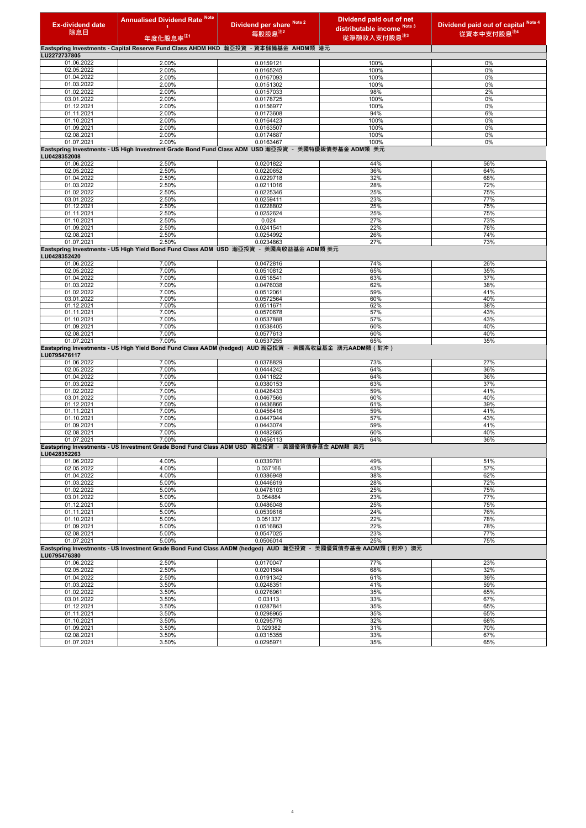| <b>Ex-dividend date</b>  | <b>Annualised Dividend Rate Note</b><br>1 | Dividend per share Note 2                                                                           | Dividend paid out of net<br>distributable income Note 3                                                        | Note 4<br>Dividend paid out of capital |
|--------------------------|-------------------------------------------|-----------------------------------------------------------------------------------------------------|----------------------------------------------------------------------------------------------------------------|----------------------------------------|
| 除息日                      | 年度化股息率 <sup>注1</sup>                      | 每股股息 <sup>注2</sup>                                                                                  | 從淨額收入支付股息 <sup>注3</sup>                                                                                        | 從資本中支付股息 <sup>注4</sup>                 |
|                          |                                           | Eastspring Investments - Capital Reserve Fund Class AHDM HKD 瀚亞投資 - 資本儲備基金 AHDM類 港元                 |                                                                                                                |                                        |
| LU2272737805             |                                           |                                                                                                     |                                                                                                                |                                        |
| 01.06.2022               | 2.00%                                     | 0.0159121                                                                                           | 100%                                                                                                           | 0%                                     |
| 02.05.2022<br>01.04.2022 | 2.00%<br>2.00%                            | 0.0165245<br>0.0167093                                                                              | 100%<br>100%                                                                                                   | 0%<br>0%                               |
| 01.03.2022               | 2.00%                                     | 0.0151302                                                                                           | 100%                                                                                                           | 0%                                     |
| 01.02.2022               | 2.00%                                     | 0.0157033                                                                                           | 98%                                                                                                            | 2%                                     |
| 03.01.2022               | 2.00%                                     | 0.0178725                                                                                           | 100%                                                                                                           | 0%                                     |
| 01.12.2021               | 2.00%                                     | 0.0156977                                                                                           | 100%                                                                                                           | 0%                                     |
| 01.11.2021<br>01.10.2021 | 2.00%<br>2.00%                            | 0.0173608<br>0.0164423                                                                              | 94%<br>100%                                                                                                    | 6%<br>0%                               |
| 01.09.2021               | 2.00%                                     | 0.0163507                                                                                           | 100%                                                                                                           | 0%                                     |
| 02.08.2021               | 2.00%                                     | 0.0174687                                                                                           | 100%                                                                                                           | 0%                                     |
| 01.07.2021               | 2.00%                                     | 0.0163467                                                                                           | 100%                                                                                                           | 0%                                     |
| LU0428352008             |                                           | Eastspring Investments - US High Investment Grade Bond Fund Class ADM USD 瀚亞投資 - 美國特優級債券基金 ADM類 美元  |                                                                                                                |                                        |
| 01.06.2022               | 2.50%                                     | 0.0201822                                                                                           | 44%                                                                                                            | 56%                                    |
| 02.05.2022               | 2.50%                                     | 0.0220652                                                                                           | 36%                                                                                                            | 64%                                    |
| 01.04.2022               | 2.50%                                     | 0.0229718                                                                                           | 32%                                                                                                            | 68%                                    |
| 01.03.2022               | 2.50%                                     | 0.0211016                                                                                           | 28%                                                                                                            | 72%                                    |
| 01.02.2022<br>03.01.2022 | 2.50%<br>2.50%                            | 0.0225346<br>0.0259411                                                                              | 25%<br>23%                                                                                                     | 75%<br>77%                             |
| 01.12.2021               | 2.50%                                     | 0.0228802                                                                                           | 25%                                                                                                            | 75%                                    |
| 01.11.2021               | 2.50%                                     | 0.0252624                                                                                           | 25%                                                                                                            | 75%                                    |
| 01.10.2021               | 2.50%                                     | 0.024                                                                                               | 27%                                                                                                            | 73%                                    |
| 01.09.2021               | 2.50%                                     | 0.0241541                                                                                           | 22%                                                                                                            | 78%                                    |
| 02.08.2021<br>01.07.2021 | 2.50%<br>2.50%                            | 0.0254992<br>0.0234863                                                                              | 26%<br>27%                                                                                                     | 74%<br>73%                             |
| LU0428352420             |                                           | Eastspring Investments - US High Yield Bond Fund Class ADM USD 瀚亞投資 - 美國高收益基金 ADM類 美元               |                                                                                                                |                                        |
| 01.06.2022               | 7.00%                                     | 0.0472816                                                                                           | 74%                                                                                                            | 26%                                    |
| 02.05.2022               | 7.00%                                     | 0.0510812                                                                                           | 65%                                                                                                            | 35%                                    |
| 01.04.2022               | 7.00%                                     | 0.0518541                                                                                           | 63%                                                                                                            | 37%                                    |
| 01.03.2022<br>01.02.2022 | 7.00%<br>7.00%                            | 0.0476038<br>0.0512061                                                                              | 62%<br>59%                                                                                                     | 38%<br>41%                             |
| 03.01.2022               | 7.00%                                     | 0.0572564                                                                                           | 60%                                                                                                            | 40%                                    |
| 01.12.2021               | 7.00%                                     | 0.0511671                                                                                           | 62%                                                                                                            | 38%                                    |
| 01.11.2021               | 7.00%                                     | 0.0570678                                                                                           | 57%                                                                                                            | 43%                                    |
| 01.10.2021<br>01.09.2021 | 7.00%<br>7.00%                            | 0.0537888<br>0.0538405                                                                              | 57%<br>60%                                                                                                     | 43%<br>40%                             |
| 02.08.2021               | 7.00%                                     | 0.0577613                                                                                           | 60%                                                                                                            | 40%                                    |
| 01.07.2021               | 7.00%                                     | 0.0537255                                                                                           | 65%                                                                                                            | 35%                                    |
| LU0795476117             |                                           | Eastspring Investments - US High Yield Bond Fund Class AADM (hedged) AUD 瀚亞投資 - 美國高收益基金 澳元AADM類(對沖) |                                                                                                                |                                        |
| 01.06.2022               | 7.00%                                     | 0.0378829                                                                                           | 73%                                                                                                            | 27%                                    |
| 02.05.2022<br>01.04.2022 | 7.00%<br>7.00%                            | 0.0444242<br>0.0411822                                                                              | 64%<br>64%                                                                                                     | 36%<br>36%                             |
| 01.03.2022               | 7.00%                                     | 0.0380153                                                                                           | 63%                                                                                                            | 37%                                    |
| 01.02.2022               | 7.00%                                     | 0.0426433                                                                                           | 59%                                                                                                            | 41%                                    |
| 03.01.2022               | 7.00%                                     | 0.0467566                                                                                           | 60%                                                                                                            | 40%                                    |
| 01.12.2021               | 7.00%<br>7.00%                            | 0.0436866<br>0.0456416                                                                              | 61%                                                                                                            | 39%<br>41%                             |
| 01.11.2021<br>01.10.2021 | 7.00%                                     | 0.0447944                                                                                           | 59%<br>57%                                                                                                     | 43%                                    |
| 01.09.2021               | 7.00%                                     | 0.0443074                                                                                           | 59%                                                                                                            | 41%                                    |
| 02.08.2021               | 7.00%                                     | 0.0482685                                                                                           | 60%                                                                                                            | 40%                                    |
| 01.07.2021               | 7.00%                                     | 0.0456113                                                                                           | 64%                                                                                                            | 36%                                    |
| LU0428352263             |                                           | Eastspring Investments - US Investment Grade Bond Fund Class ADM USD 瀚亞投資 - 美國優質債券基金 ADM類 美元        |                                                                                                                |                                        |
| 01.06.2022<br>02.05.2022 | 4.00%<br>4.00%                            | 0.0339781<br>0.037166                                                                               | 49%<br>43%                                                                                                     | 51%<br>57%                             |
| 01.04.2022               | 4.00%                                     | 0.0386948                                                                                           | 38%                                                                                                            | 62%                                    |
| 01.03.2022               | 5.00%                                     | 0.0446619                                                                                           | 28%                                                                                                            | 72%                                    |
| 01.02.2022               | 5.00%                                     | 0.0478103                                                                                           | 25%                                                                                                            | 75%                                    |
| 03.01.2022               | 5.00%                                     | 0.054884                                                                                            | 23%                                                                                                            | 77%                                    |
| 01.12.2021<br>01.11.2021 | 5.00%<br>5.00%                            | 0.0486048<br>0.0539616                                                                              | 25%<br>24%                                                                                                     | 75%<br>76%                             |
| 01.10.2021               | 5.00%                                     | 0.051337                                                                                            | 22%                                                                                                            | 78%                                    |
| 01.09.2021               | 5.00%                                     | 0.0516863                                                                                           | 22%                                                                                                            | 78%                                    |
| 02.08.2021               | 5.00%                                     | 0.0547025                                                                                           | 23%                                                                                                            | 77%                                    |
| 01.07.2021               | 5.00%                                     | 0.0506014                                                                                           | 25%                                                                                                            | 75%                                    |
| LU0795476380             |                                           |                                                                                                     | Eastspring Investments - US Investment Grade Bond Fund Class AADM (hedged) AUD 瀚亞投資 - 美國優質債券基金 AADM類 ( 對沖 ) 澳元 |                                        |
| 01.06.2022               | 2.50%                                     | 0.0170047                                                                                           | 77%                                                                                                            | 23%                                    |
| 02.05.2022<br>01.04.2022 | 2.50%<br>2.50%                            | 0.0201584<br>0.0191342                                                                              | 68%<br>61%                                                                                                     | 32%<br>39%                             |
| 01.03.2022               | 3.50%                                     | 0.0248351                                                                                           | 41%                                                                                                            | 59%                                    |
| 01.02.2022               | 3.50%                                     | 0.0276961                                                                                           | 35%                                                                                                            | 65%                                    |
| 03.01.2022               | 3.50%                                     | 0.03113                                                                                             | 33%                                                                                                            | 67%                                    |
| 01.12.2021               | 3.50%                                     | 0.0287841                                                                                           | 35%                                                                                                            | 65%                                    |
| 01.11.2021               | 3.50%                                     | 0.0298965                                                                                           | 35%                                                                                                            | 65%                                    |
| 01.10.2021<br>01.09.2021 | 3.50%<br>3.50%                            | 0.0295776<br>0.029382                                                                               | 32%<br>31%                                                                                                     | 68%<br>70%                             |
| 02.08.2021               | 3.50%                                     | 0.0315355                                                                                           | 33%                                                                                                            | 67%                                    |
| 01.07.2021               | 3.50%                                     | 0.0295971                                                                                           | 35%                                                                                                            | 65%                                    |

4